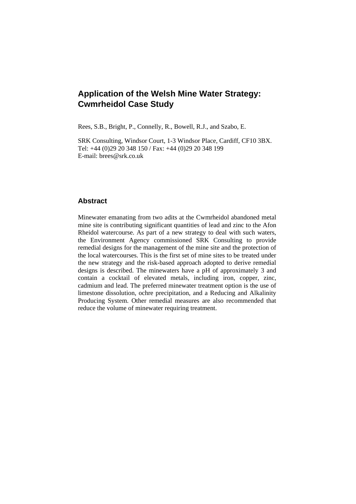# **Application of the Welsh Mine Water Strategy: Cwmrheidol Case Study**

Rees, S.B., Bright, P., Connelly, R., Bowell, R.J., and Szabo, E.

SRK Consulting, Windsor Court, 1-3 Windsor Place, Cardiff, CF10 3BX. Tel: +44 (0)29 20 348 150 / Fax: +44 (0)29 20 348 199 E-mail: brees@srk.co.uk

## **Abstract**

Minewater emanating from two adits at the Cwmrheidol abandoned metal mine site is contributing significant quantities of lead and zinc to the Afon Rheidol watercourse. As part of a new strategy to deal with such waters, the Environment Agency commissioned SRK Consulting to provide remedial designs for the management of the mine site and the protection of the local watercourses. This is the first set of mine sites to be treated under the new strategy and the risk-based approach adopted to derive remedial designs is described. The minewaters have a pH of approximately 3 and contain a cocktail of elevated metals, including iron, copper, zinc, cadmium and lead. The preferred minewater treatment option is the use of limestone dissolution, ochre precipitation, and a Reducing and Alkalinity Producing System. Other remedial measures are also recommended that reduce the volume of minewater requiring treatment.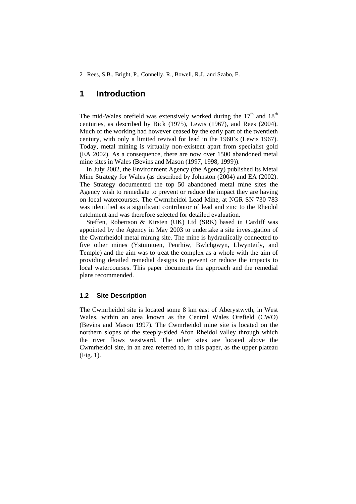# **1 Introduction**

The mid-Wales orefield was extensively worked during the  $17<sup>th</sup>$  and  $18<sup>th</sup>$ centuries, as described by Bick (1975), Lewis (1967), and Rees (2004). Much of the working had however ceased by the early part of the twentieth century, with only a limited revival for lead in the 1960's (Lewis 1967). Today, metal mining is virtually non-existent apart from specialist gold (EA 2002). As a consequence, there are now over 1500 abandoned metal mine sites in Wales (Bevins and Mason (1997, 1998, 1999)).

In July 2002, the Environment Agency (the Agency) published its Metal Mine Strategy for Wales (as described by Johnston (2004) and EA (2002). The Strategy documented the top 50 abandoned metal mine sites the Agency wish to remediate to prevent or reduce the impact they are having on local watercourses. The Cwmrheidol Lead Mine, at NGR SN 730 783 was identified as a significant contributor of lead and zinc to the Rheidol catchment and was therefore selected for detailed evaluation.

Steffen, Robertson & Kirsten (UK) Ltd (SRK) based in Cardiff was appointed by the Agency in May 2003 to undertake a site investigation of the Cwmrheidol metal mining site. The mine is hydraulically connected to five other mines (Ystumtuen, Penrhiw, Bwlchgwyn, Llwynteify, and Temple) and the aim was to treat the complex as a whole with the aim of providing detailed remedial designs to prevent or reduce the impacts to local watercourses. This paper documents the approach and the remedial plans recommended.

#### **1.2 Site Description**

The Cwmrheidol site is located some 8 km east of Aberystwyth, in West Wales, within an area known as the Central Wales Orefield (CWO) (Bevins and Mason 1997). The Cwmrheidol mine site is located on the northern slopes of the steeply-sided Afon Rheidol valley through which the river flows westward. The other sites are located above the Cwmrheidol site, in an area referred to, in this paper, as the upper plateau (Fig. 1).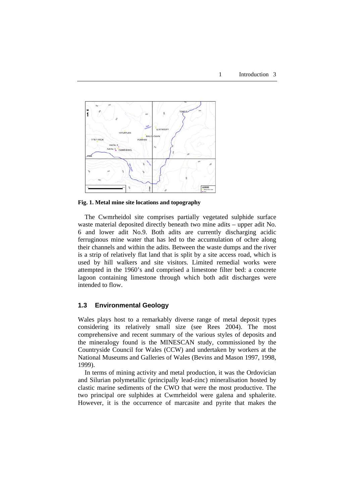

**Fig. 1. Metal mine site locations and topography** 

The Cwmrheidol site comprises partially vegetated sulphide surface waste material deposited directly beneath two mine adits – upper adit No. 6 and lower adit No.9. Both adits are currently discharging acidic ferruginous mine water that has led to the accumulation of ochre along their channels and within the adits. Between the waste dumps and the river is a strip of relatively flat land that is split by a site access road, which is used by hill walkers and site visitors. Limited remedial works were attempted in the 1960's and comprised a limestone filter bed: a concrete lagoon containing limestone through which both adit discharges were intended to flow.

#### **1.3 Environmental Geology**

Wales plays host to a remarkably diverse range of metal deposit types considering its relatively small size (see Rees 2004). The most comprehensive and recent summary of the various styles of deposits and the mineralogy found is the MINESCAN study, commissioned by the Countryside Council for Wales (CCW) and undertaken by workers at the National Museums and Galleries of Wales (Bevins and Mason 1997, 1998, 1999).

In terms of mining activity and metal production, it was the Ordovician and Silurian polymetallic (principally lead-zinc) mineralisation hosted by clastic marine sediments of the CWO that were the most productive. The two principal ore sulphides at Cwmrheidol were galena and sphalerite. However, it is the occurrence of marcasite and pyrite that makes the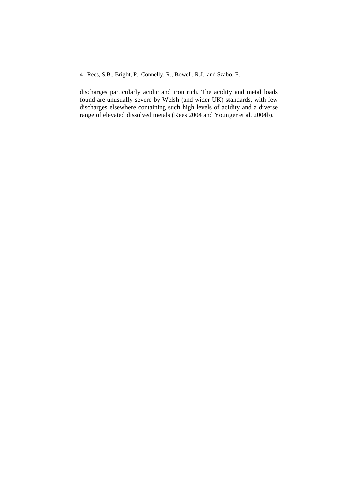discharges particularly acidic and iron rich. The acidity and metal loads found are unusually severe by Welsh (and wider UK) standards, with few discharges elsewhere containing such high levels of acidity and a diverse range of elevated dissolved metals (Rees 2004 and Younger et al. 2004b).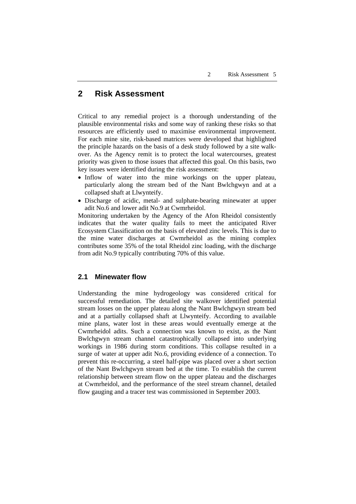# **2 Risk Assessment**

Critical to any remedial project is a thorough understanding of the plausible environmental risks and some way of ranking these risks so that resources are efficiently used to maximise environmental improvement. For each mine site, risk-based matrices were developed that highlighted the principle hazards on the basis of a desk study followed by a site walkover. As the Agency remit is to protect the local watercourses, greatest priority was given to those issues that affected this goal. On this basis, two key issues were identified during the risk assessment:

- Inflow of water into the mine workings on the upper plateau, particularly along the stream bed of the Nant Bwlchgwyn and at a collapsed shaft at Llwynteify.
- Discharge of acidic, metal- and sulphate-bearing minewater at upper adit No.6 and lower adit No.9 at Cwmrheidol.

Monitoring undertaken by the Agency of the Afon Rheidol consistently indicates that the water quality fails to meet the anticipated River Ecosystem Classification on the basis of elevated zinc levels. This is due to the mine water discharges at Cwmrheidol as the mining complex contributes some 35% of the total Rheidol zinc loading, with the discharge from adit No.9 typically contributing 70% of this value.

#### **2.1 Minewater flow**

Understanding the mine hydrogeology was considered critical for successful remediation. The detailed site walkover identified potential stream losses on the upper plateau along the Nant Bwlchgwyn stream bed and at a partially collapsed shaft at Llwynteify. According to available mine plans, water lost in these areas would eventually emerge at the Cwmrheidol adits. Such a connection was known to exist, as the Nant Bwlchgwyn stream channel catastrophically collapsed into underlying workings in 1986 during storm conditions. This collapse resulted in a surge of water at upper adit No.6, providing evidence of a connection. To prevent this re-occurring, a steel half-pipe was placed over a short section of the Nant Bwlchgwyn stream bed at the time. To establish the current relationship between stream flow on the upper plateau and the discharges at Cwmrheidol, and the performance of the steel stream channel, detailed flow gauging and a tracer test was commissioned in September 2003.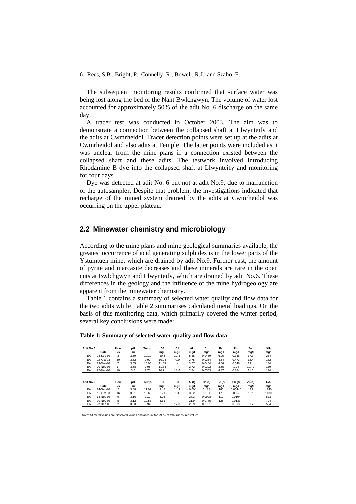The subsequent monitoring results confirmed that surface water was being lost along the bed of the Nant Bwlchgwyn. The volume of water lost accounted for approximately 50% of the adit No. 6 discharge on the same day.

A tracer test was conducted in October 2003. The aim was to demonstrate a connection between the collapsed shaft at Llwynteify and the adits at Cwmrheidol. Tracer detection points were set up at the adits at Cwmrheidol and also adits at Temple. The latter points were included as it was unclear from the mine plans if a connection existed between the collapsed shaft and these adits. The testwork involved introducing Rhodamine B dye into the collapsed shaft at Llwynteify and monitoring for four days.

Dye was detected at adit No. 6 but not at adit No.9, due to malfunction of the autosampler. Despite that problem, the investigations indicated that recharge of the mined system drained by the adits at Cwmrheidol was occurring on the upper plateau.

#### **2.2 Minewater chemistry and microbiology**

According to the mine plans and mine geological summaries available, the greatest occurrence of acid generating sulphides is in the lower parts of the Ystumtuen mine, which are drained by adit No.9. Further east, the amount of pyrite and marcasite decreases and these minerals are rare in the open cuts at Bwlchgwyn and Llwynteify, which are drained by adit No.6. These differences in the geology and the influence of the mine hydrogeology are apparent from the minewater chemistry.

Table 1 contains a summary of selected water quality and flow data for the two adits while Table 2 summarises calculated metal loadings. On the basis of this monitoring data, which primarily covered the winter period, several key conclusions were made:

| Adit No.6 |           | <b>Flow</b>    | рH   | Temp. | D <sub>0</sub> | CI   | AI      | Cd     | Fe       | Pb      | Zn                       | SO <sub>4</sub> |
|-----------|-----------|----------------|------|-------|----------------|------|---------|--------|----------|---------|--------------------------|-----------------|
|           | Date      | l/s            | su   |       | mg/l           | mg/l | mg/l    | mg/l   | mg/l     | mg/l    | mg/l                     | mg/l            |
| EA        | 24-Sep-03 | 3              | 3.59 | 10.12 | 10.6           | 12.3 | 5.35    | 0.0469 | 6.05     | 0.346   | 17.3                     | 234             |
| EA        | 15-Oct-03 | 50             | 3.62 | 9.92  | 10.94          | < 10 | 3.75    | 0.0354 | 4.64     | 0.473   | 12.4                     | 182             |
| EA        | 13-Nov-03 | 7              | 3.55 | 10.05 | 11.09          | ۰.   | 3.67    | 0.0404 | 4.56     | 0.546   | 13.4                     | 184             |
| EA        | 20-Nov-03 | 17             | 3.58 | 9.98  | 11.34          | ۰    | 2.72    | 0.0302 | 3.55     | 1.24    | 10.72                    | 139             |
| EA        | 22-Dec-03 | 19             | 3.6  | 8.71  | 10.71          | 18.6 | 2.74    | 0.0363 | 4.87     | 0.854   | 11.6                     | 134             |
| Adit No.9 |           | <b>Flow</b>    | pH   | Temp. | D <sub>0</sub> | СI   | Al (f)  | Cd(f)  | Fe $(f)$ | Pb (f)  | Zn(f)                    | SO <sub>4</sub> |
|           | Date      | l/s            | su   |       | mg/l           | mg/l | mg/l    | mg/l   | mg/l     | mg/l    | mg/l                     | mg/l            |
| EA        | 24-Sep-03 | $\overline{2}$ | 3.08 | 11.09 | 2.48           | 14.9 | < 0.004 | 0.137  | 186      | 0.00445 | 113                      | 1140            |
| EA        | 15-Oct-03 | 16             | 3.01 | 10.63 | 2.71           | 10   | 39.2    | 0.131  | 175      | 0.00572 | 102                      | 1130            |
| EA        | 13-Nov-03 | 9              | 3.16 | 10.7  | 5.06           | ۰    | 27.3    | 0.0928 | 110      | 0.0104  | $\overline{\phantom{a}}$ | 823             |
| EA        | 20-Nov-03 | 5              | 3.12 | 10.53 | 6.61           | ۰    | 21.9    | 0.0775 | 125      | 0.0133  | $\overline{\phantom{a}}$ | 794             |
| EA        | 22-Dec-03 | $\overline{2}$ | 3.03 | 9.94  | 7.02           | 17.3 | 20.9    | 0.0761 | 57       | 0.013   | 51.7                     | 564             |

#### **Table 1: Summary of selected water quality and flow data**

Note: All metal values are dissolved values and account for >95% of total measured values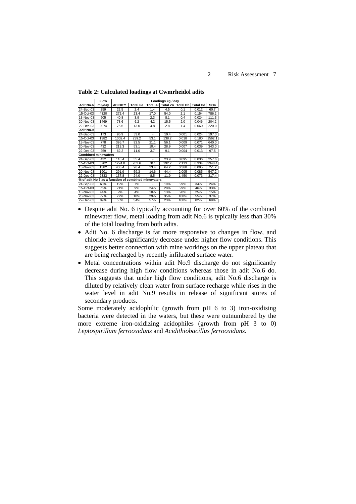|                            | <b>Flow</b>                           | Loadings kg / day                                   |                 |      |                                     |       |                 |            |  |
|----------------------------|---------------------------------------|-----------------------------------------------------|-----------------|------|-------------------------------------|-------|-----------------|------------|--|
| Adit No.6                  | $\overline{\mathsf{m}3}/\mathsf{day}$ | <b>ACIDITY</b>                                      | <b>Total Fe</b> |      | <b>Total All Total Znl Total Pb</b> |       | <b>Total Cd</b> | <b>SO4</b> |  |
| 24-Sep-03                  | 259                                   | 22.5                                                | 2.4             | 1.4  | 4.5                                 | 0.1   | 0.012           | 60.7       |  |
| 15-Oct-03                  | 4320                                  | 272.4                                               | 23.4            | 17.0 | 54.0                                | 2.1   | 0.154           | 786.2      |  |
| 13-Nov-03                  | 605                                   | 40.8                                                | 3.9             | 2.3  | 8.1                                 | 0.4   | 0.024           | 111.3      |  |
| 20-Nov-03                  | 1469                                  | 78.6                                                | 6.2             | 4.2  | 15.5                                | 2.0   | 0.046           | 204.2      |  |
| 22-Dec-03                  | 2074                                  | 75.6                                                | 13.0            | 4.8  | 2.8                                 | 1.4   | 0.060           | 220.0      |  |
| Adit No.9                  |                                       |                                                     |                 |      |                                     |       |                 |            |  |
| 24-Sep-03                  | 173                                   | 95.9                                                | 33.0            | ٠    | 19.4                                | 0.001 | 0.024           | 197.0      |  |
| 15-Oct-03                  | 1382                                  | 1002.4                                              | 239.2           | 53.1 | 138.2                               | 0.018 | 0.180           | 1562.1     |  |
| 13-Nov-03                  | 778                                   | 395.7                                               | 92.5            | 21.1 | 56.1                                | 0.009 | 0.071           | 640.0      |  |
| 20-Nov-03                  | 432                                   | 213.3                                               | 53.1            | 10.4 | 28.9                                | 0.007 | 0.039           | 343.0      |  |
| 22-Dec-03                  | 259                                   | 62.2                                                | 11.0            | 3.7  | 9.1                                 | 0.004 | 0.013           | 97.5       |  |
| <b>Combined minewaters</b> |                                       |                                                     |                 |      |                                     |       |                 |            |  |
| 24-Sep-03                  | 432                                   | 118.4                                               | 35.4            |      | 23.9                                | 0.095 | 0.036           | 257.6      |  |
| 15-Oct-03                  | 5702                                  | 1274.8                                              | 262.6           | 70.1 | 192.2                               | 2.113 | 0.334           | 2348.4     |  |
| 13-Nov-03                  | 1382                                  | 436.4                                               | 96.4            | 23.4 | 64.2                                | 0.368 | 0.095           | 751.2      |  |
| 20-Nov-03                  | 1901                                  | 291.9                                               | 59.3            | 14.6 | 44.4                                | 2.005 | 0.085           | 547.2      |  |
| 22-Dec-03                  | 2333                                  | 137.8                                               | 24.0            | 8.5  | 11.9                                | 1.450 | 0.073           | 317.4      |  |
|                            |                                       | % of adit No 6 as a function of combined minewaters |                 |      |                                     |       |                 |            |  |
| 24-Sep-03                  | 60%                                   | 19%                                                 | 7%              |      | 19%                                 | 99%   | 34%             | 24%        |  |
| 15-Oct-03                  | 76%                                   | 21%                                                 | 9%              | 24%  | 28%                                 | 99%   | 46%             | 33%        |  |
| $13-Nov-03$                | 44%                                   | 9%                                                  | 4%              | 10%  | 13%                                 | 98%   | 25%             | 15%        |  |
| 20-Nov-03                  | 77%                                   | 27%                                                 | 10%             | 29%  | 35%                                 | 100%  | 55%             | 37%        |  |
| 22-Dec-03                  | 89%                                   | 55%                                                 | 54%             | 57%  | 23%                                 | 100%  | 82%             | 69%        |  |

**Table 2: Calculated loadings at Cwmrheidol adits** 

- Despite adit No. 6 typically accounting for over 60% of the combined minewater flow, metal loading from adit No.6 is typically less than 30% of the total loading from both adits.
- Adit No. 6 discharge is far more responsive to changes in flow, and chloride levels significantly decrease under higher flow conditions. This suggests better connection with mine workings on the upper plateau that are being recharged by recently infiltrated surface water.
- Metal concentrations within adit No.9 discharge do not significantly decrease during high flow conditions whereas those in adit No.6 do. This suggests that under high flow conditions, adit No.6 discharge is diluted by relatively clean water from surface recharge while rises in the water level in adit No.9 results in release of significant stores of secondary products.

Some moderately acidophilic (growth from pH 6 to 3) iron-oxidising bacteria were detected in the waters, but these were outnumbered by the more extreme iron-oxidizing acidophiles (growth from pH 3 to 0) *Leptospirillum ferrooxidans* and *Acidithiobacillus ferrooxidans*.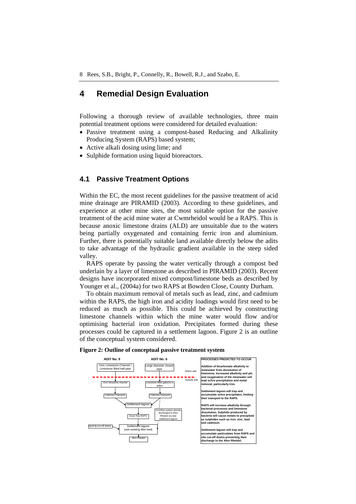## **4 Remedial Design Evaluation**

Following a thorough review of available technologies, three main potential treatment options were considered for detailed evaluation:

- Passive treatment using a compost-based Reducing and Alkalinity Producing System (RAPS) based system;
- Active alkali dosing using lime; and
- Sulphide formation using liquid bioreactors.

### **4.1 Passive Treatment Options**

Within the EC, the most recent guidelines for the passive treatment of acid mine drainage are PIRAMID (2003). According to these guidelines, and experience at other mine sites, the most suitable option for the passive treatment of the acid mine water at Cwmrheidol would be a RAPS. This is because anoxic limestone drains (ALD) are unsuitable due to the waters being partially oxygenated and containing ferric iron and aluminium. Further, there is potentially suitable land available directly below the adits to take advantage of the hydraulic gradient available in the steep sided valley.

RAPS operate by passing the water vertically through a compost bed underlain by a layer of limestone as described in PIRAMID (2003). Recent designs have incorporated mixed compost/limestone beds as described by Younger et al., (2004a) for two RAPS at Bowden Close, County Durham.

To obtain maximum removal of metals such as lead, zinc, and cadmium within the RAPS, the high iron and acidity loadings would first need to be reduced as much as possible. This could be achieved by constructing limestone channels within which the mine water would flow and/or optimising bacterial iron oxidation. Precipitates formed during these processes could be captured in a settlement lagoon. Figure 2 is an outline of the conceptual system considered.



#### **Figure 2: Outline of conceptual passive treatment system**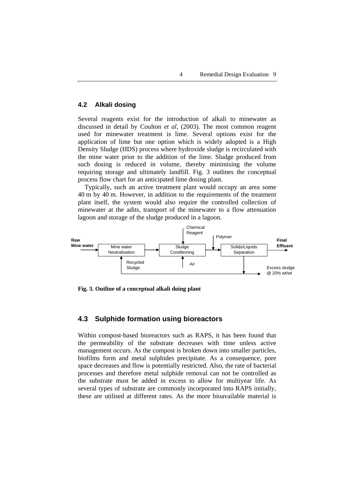#### **4.2 Alkali dosing**

Several reagents exist for the introduction of alkali to minewater as discussed in detail by Coulton *et al,* (2003). The most common reagent used for minewater treatment is lime. Several options exist for the application of lime but one option which is widely adopted is a High Density Sludge (HDS) process where hydroxide sludge is recirculated with the mine water prior to the addition of the lime. Sludge produced from such dosing is reduced in volume, thereby minimising the volume requiring storage and ultimately landfill. Fig. 3 outlines the conceptual process flow chart for an anticipated lime dosing plant.

Typically, such an active treatment plant would occupy an area some 40 m by 40 m. However, in addition to the requirements of the treatment plant itself, the system would also require the controlled collection of minewater at the adits, transport of the minewater to a flow attenuation lagoon and storage of the sludge produced in a lagoon.



**Fig. 3. Outline of a conceptual alkali doing plant** 

### **4.3 Sulphide formation using bioreactors**

Within compost-based bioreactors such as RAPS, it has been found that the permeability of the substrate decreases with time unless active management occurs. As the compost is broken down into smaller particles, biofilms form and metal sulphides precipitate. As a consequence, pore space decreases and flow is potentially restricted. Also, the rate of bacterial processes and therefore metal sulphide removal can not be controlled as the substrate must be added in excess to allow for multiyear life. As several types of substrate are commonly incorporated into RAPS initially, these are utilised at different rates. As the more bioavailable material is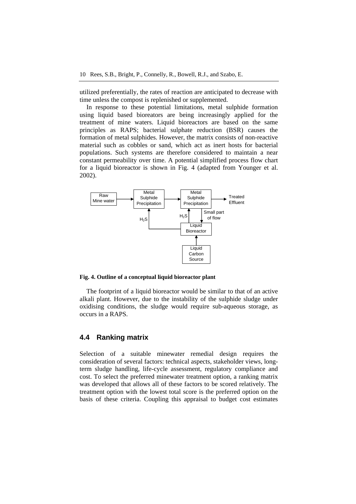utilized preferentially, the rates of reaction are anticipated to decrease with time unless the compost is replenished or supplemented.

In response to these potential limitations, metal sulphide formation using liquid based bioreators are being increasingly applied for the treatment of mine waters. Liquid bioreactors are based on the same principles as RAPS; bacterial sulphate reduction (BSR) causes the formation of metal sulphides. However, the matrix consists of non-reactive material such as cobbles or sand, which act as inert hosts for bacterial populations. Such systems are therefore considered to maintain a near constant permeability over time. A potential simplified process flow chart for a liquid bioreactor is shown in Fig. 4 (adapted from Younger et al. 2002).



**Fig. 4. Outline of a conceptual liquid bioreactor plant** 

The footprint of a liquid bioreactor would be similar to that of an active alkali plant. However, due to the instability of the sulphide sludge under oxidising conditions, the sludge would require sub-aqueous storage, as occurs in a RAPS.

### **4.4 Ranking matrix**

Selection of a suitable minewater remedial design requires the consideration of several factors: technical aspects, stakeholder views, longterm sludge handling, life-cycle assessment, regulatory compliance and cost. To select the preferred minewater treatment option, a ranking matrix was developed that allows all of these factors to be scored relatively. The treatment option with the lowest total score is the preferred option on the basis of these criteria. Coupling this appraisal to budget cost estimates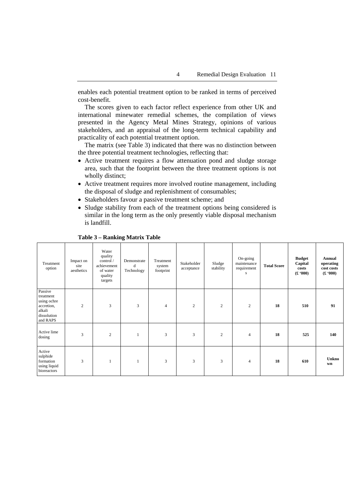enables each potential treatment option to be ranked in terms of perceived cost-benefit.

The scores given to each factor reflect experience from other UK and international minewater remedial schemes, the compilation of views presented in the Agency Metal Mines Strategy, opinions of various stakeholders, and an appraisal of the long-term technical capability and practicality of each potential treatment option.

The matrix (see Table 3) indicated that there was no distinction between the three potential treatment technologies, reflecting that:

- Active treatment requires a flow attenuation pond and sludge storage area, such that the footprint between the three treatment options is not wholly distinct;
- Active treatment requires more involved routine management, including the disposal of sludge and replenishment of consumables;
- Stakeholders favour a passive treatment scheme; and
- Sludge stability from each of the treatment options being considered is similar in the long term as the only presently viable disposal mechanism is landfill.

| Treatment<br>option                                                                    | Impact on<br>site<br>aesthetics | Water<br>quality<br>control /<br>achievement<br>of water<br>quality<br>targets | Demonstrate<br>d<br>Technology | Treatment<br>system<br>footprint | Stakeholder<br>acceptance | Sludge<br>stability | On-going<br>maintenance<br>requirement<br>s. | <b>Total Score</b> | <b>Budget</b><br>Capital<br>costs<br>(000) | Annual<br>operating<br>cost costs<br>(0.00) |
|----------------------------------------------------------------------------------------|---------------------------------|--------------------------------------------------------------------------------|--------------------------------|----------------------------------|---------------------------|---------------------|----------------------------------------------|--------------------|--------------------------------------------|---------------------------------------------|
| Passive<br>treatment<br>using ochre<br>accretion,<br>alkali<br>dissolution<br>and RAPS | $\overline{c}$                  | 3                                                                              | 3                              | $\overline{4}$                   | $\overline{2}$            | $\overline{2}$      | $\overline{2}$                               | 18                 | 510                                        | 91                                          |
| Active lime<br>dosing                                                                  | 3                               | 2                                                                              |                                | 3                                | 3                         | 2                   | $\overline{4}$                               | 18                 | 525                                        | 140                                         |
| Active<br>sulphide<br>formation<br>using liquid<br>bioreactors                         | 3                               | 1                                                                              |                                | 3                                | 3                         | 3                   | $\overline{4}$                               | 18                 | 610                                        | <b>Unkno</b><br>wn                          |

#### **Table 3 – Ranking Matrix Table**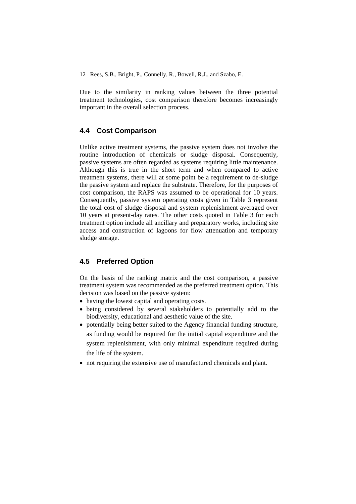Due to the similarity in ranking values between the three potential treatment technologies, cost comparison therefore becomes increasingly important in the overall selection process.

### **4.4 Cost Comparison**

Unlike active treatment systems, the passive system does not involve the routine introduction of chemicals or sludge disposal. Consequently, passive systems are often regarded as systems requiring little maintenance. Although this is true in the short term and when compared to active treatment systems, there will at some point be a requirement to de-sludge the passive system and replace the substrate. Therefore, for the purposes of cost comparison, the RAPS was assumed to be operational for 10 years. Consequently, passive system operating costs given in Table 3 represent the total cost of sludge disposal and system replenishment averaged over 10 years at present-day rates. The other costs quoted in Table 3 for each treatment option include all ancillary and preparatory works, including site access and construction of lagoons for flow attenuation and temporary sludge storage.

### **4.5 Preferred Option**

On the basis of the ranking matrix and the cost comparison, a passive treatment system was recommended as the preferred treatment option. This decision was based on the passive system:

- having the lowest capital and operating costs.
- being considered by several stakeholders to potentially add to the biodiversity, educational and aesthetic value of the site.
- potentially being better suited to the Agency financial funding structure, as funding would be required for the initial capital expenditure and the system replenishment, with only minimal expenditure required during the life of the system.
- not requiring the extensive use of manufactured chemicals and plant.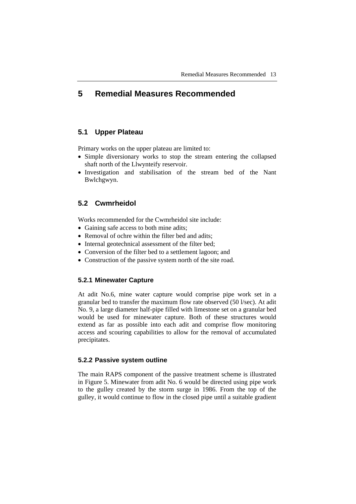# **5 Remedial Measures Recommended**

### **5.1 Upper Plateau**

Primary works on the upper plateau are limited to:

- Simple diversionary works to stop the stream entering the collapsed shaft north of the Llwynteify reservoir.
- Investigation and stabilisation of the stream bed of the Nant Bwlchgwyn.

### **5.2 Cwmrheidol**

Works recommended for the Cwmrheidol site include:

- Gaining safe access to both mine adits;
- Removal of ochre within the filter bed and adits;
- Internal geotechnical assessment of the filter bed;
- Conversion of the filter bed to a settlement lagoon; and
- Construction of the passive system north of the site road.

#### **5.2.1 Minewater Capture**

At adit No.6, mine water capture would comprise pipe work set in a granular bed to transfer the maximum flow rate observed (50 l/sec). At adit No. 9, a large diameter half-pipe filled with limestone set on a granular bed would be used for minewater capture. Both of these structures would extend as far as possible into each adit and comprise flow monitoring access and scouring capabilities to allow for the removal of accumulated precipitates.

### **5.2.2 Passive system outline**

The main RAPS component of the passive treatment scheme is illustrated in Figure 5. Minewater from adit No. 6 would be directed using pipe work to the gulley created by the storm surge in 1986. From the top of the gulley, it would continue to flow in the closed pipe until a suitable gradient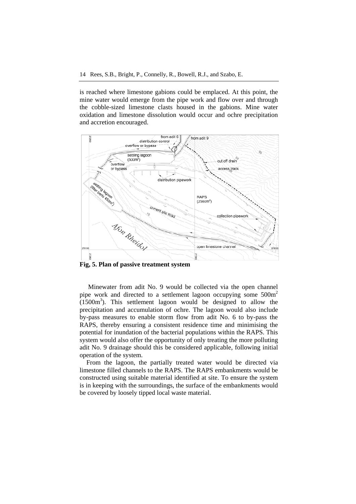is reached where limestone gabions could be emplaced. At this point, the mine water would emerge from the pipe work and flow over and through the cobble-sized limestone clasts housed in the gabions. Mine water oxidation and limestone dissolution would occur and ochre precipitation and accretion encouraged.



**Fig, 5. Plan of passive treatment system** 

Minewater from adit No. 9 would be collected via the open channel pipe work and directed to a settlement lagoon occupying some  $500m<sup>2</sup>$  $(1500m<sup>3</sup>)$ . This settlement lagoon would be designed to allow the precipitation and accumulation of ochre. The lagoon would also include by-pass measures to enable storm flow from adit No. 6 to by-pass the RAPS, thereby ensuring a consistent residence time and minimising the potential for inundation of the bacterial populations within the RAPS. This system would also offer the opportunity of only treating the more polluting adit No. 9 drainage should this be considered applicable, following initial operation of the system.

From the lagoon, the partially treated water would be directed via limestone filled channels to the RAPS. The RAPS embankments would be constructed using suitable material identified at site. To ensure the system is in keeping with the surroundings, the surface of the embankments would be covered by loosely tipped local waste material.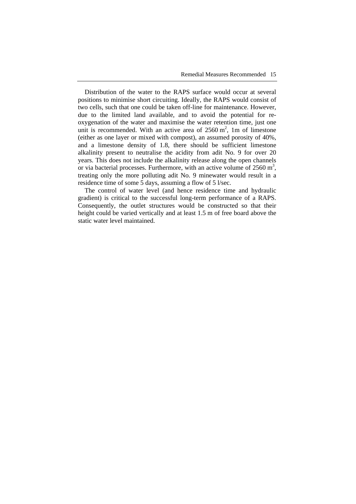Distribution of the water to the RAPS surface would occur at several positions to minimise short circuiting. Ideally, the RAPS would consist of two cells, such that one could be taken off-line for maintenance. However, due to the limited land available, and to avoid the potential for reoxygenation of the water and maximise the water retention time, just one unit is recommended. With an active area of  $2560 \text{ m}^2$ , 1m of limestone (either as one layer or mixed with compost), an assumed porosity of 40%, and a limestone density of 1.8, there should be sufficient limestone alkalinity present to neutralise the acidity from adit No. 9 for over 20 years. This does not include the alkalinity release along the open channels or via bacterial processes. Furthermore, with an active volume of  $2560 \text{ m}^3$ , treating only the more polluting adit No. 9 minewater would result in a residence time of some 5 days, assuming a flow of 5 l/sec.

The control of water level (and hence residence time and hydraulic gradient) is critical to the successful long-term performance of a RAPS. Consequently, the outlet structures would be constructed so that their height could be varied vertically and at least 1.5 m of free board above the static water level maintained.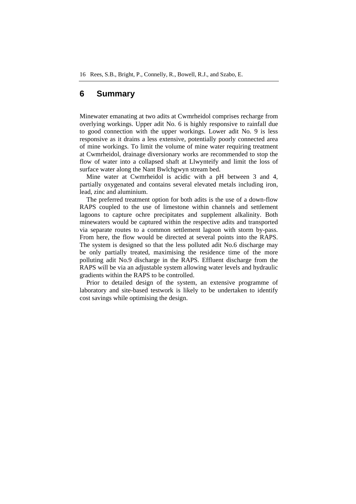## **6 Summary**

Minewater emanating at two adits at Cwmrheidol comprises recharge from overlying workings. Upper adit No. 6 is highly responsive to rainfall due to good connection with the upper workings. Lower adit No. 9 is less responsive as it drains a less extensive, potentially poorly connected area of mine workings. To limit the volume of mine water requiring treatment at Cwmrheidol, drainage diversionary works are recommended to stop the flow of water into a collapsed shaft at Llwynteify and limit the loss of surface water along the Nant Bwlchgwyn stream bed.

Mine water at Cwmrheidol is acidic with a pH between 3 and 4, partially oxygenated and contains several elevated metals including iron, lead, zinc and aluminium.

The preferred treatment option for both adits is the use of a down-flow RAPS coupled to the use of limestone within channels and settlement lagoons to capture ochre precipitates and supplement alkalinity. Both minewaters would be captured within the respective adits and transported via separate routes to a common settlement lagoon with storm by-pass. From here, the flow would be directed at several points into the RAPS. The system is designed so that the less polluted adit No.6 discharge may be only partially treated, maximising the residence time of the more polluting adit No.9 discharge in the RAPS. Effluent discharge from the RAPS will be via an adjustable system allowing water levels and hydraulic gradients within the RAPS to be controlled.

Prior to detailed design of the system, an extensive programme of laboratory and site-based testwork is likely to be undertaken to identify cost savings while optimising the design.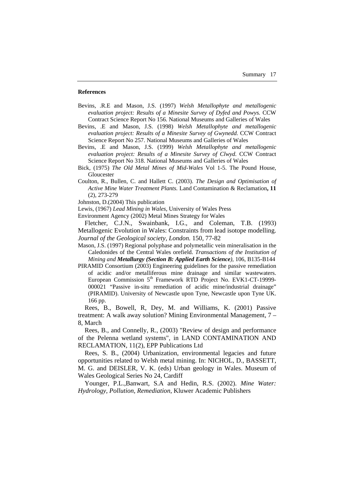#### **References**

- Bevins, .R.E and Mason, J.S. (1997) *Welsh Metallophyte and metallogenic evaluation project: Results of a Minesite Survey of Dyfed and Powys.* CCW Contract Science Report No 156. National Museums and Galleries of Wales
- Bevins, .E and Mason, J.S. (1998) *Welsh Metallophyte and metallogenic evaluation project: Results of a Minesite Survey of Gwynedd.* CCW Contract Science Report No 257. National Museums and Galleries of Wales
- Bevins, .E and Mason, J.S. (1999) *Welsh Metallophyte and metallogenic evaluation project: Results of a Minesite Survey of Clwyd.* CCW Contract Science Report No 318. National Museums and Galleries of Wales
- Bick, (1975) *The Old Metal Mines of Mid-Wales* Vol 1-5. The Pound House, Gloucester
- Coulton, R., Bullen, C. and Hallett C. (2003). *The Design and Optimisation of Active Mine Water Treatment Plants.* Land Contamination & Reclamation**, 11** (2), 273-279
- Johnston, D.(2004) This publication
- Lewis, (1967) *Lead Mining in Wales*, University of Wales Press
- Environment Agency (2002) Metal Mines Strategy for Wales

Fletcher, C.J.N., Swainbank, I.G., and Coleman, T.B. (1993) Metallogenic Evolution in Wales: Constraints from lead isotope modelling. *Journal of the Geological society, London.* 150, 77-82

- Mason, J.S. (1997) Regional polyphase and polymetallic vein mineralisation in the Caledonides of the Central Wales orefield. *Transactions of the Institution of Mining and Metallurgy (Section B: Applied Earth Science),* 106, B135-B144
- PIRAMID Consortium (2003) Engineering guidelines for the passive remediation of acidic and/or metalliferous mine drainage and similar wastewaters. European Commission 5<sup>th</sup> Framework RTD Project No. EVK1-CT-19999-000021 "Passive in-situ remediation of acidic mine/industrial drainage" (PIRAMID). University of Newcastle upon Tyne, Newcastle upon Tyne UK. 166 pp.

Rees, B., Bowell, R, Dey, M. and Williams, K. (2001) Passive treatment: A walk away solution? Mining Environmental Management, 7 – 8, March

Rees, B., and Connelly, R., (2003) "Review of design and performance of the Pelenna wetland systems", in LAND CONTAMINATION AND RECLAMATION, 11(2), EPP Publications Ltd

Rees, S. B., (2004) Urbanization, environmental legacies and future opportunities related to Welsh metal mining. In: NICHOL, D., BASSETT, M. G. and DEISLER, V. K. (eds) Urban geology in Wales. Museum of Wales Geological Series No 24, Cardiff

Younger, P.L.,Banwart, S.A and Hedin, R.S. (2002). *Mine Water: Hydrology, Pollution, Remediation*, Kluwer Academic Publishers